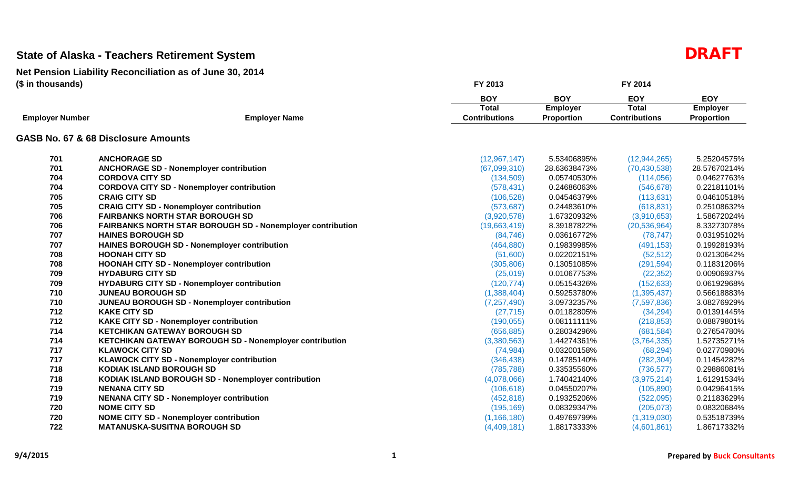|                        |                                                                   | <b>BOY</b>           | <b>BOY</b>        | <b>EOY</b>           | <b>EOY</b>      |
|------------------------|-------------------------------------------------------------------|----------------------|-------------------|----------------------|-----------------|
|                        |                                                                   | <b>Total</b>         | <b>Employer</b>   | <b>Total</b>         | <b>Employer</b> |
| <b>Employer Number</b> | <b>Employer Name</b>                                              | <b>Contributions</b> | <b>Proportion</b> | <b>Contributions</b> | Proportion      |
|                        | GASB No. 67 & 68 Disclosure Amounts                               |                      |                   |                      |                 |
| 701                    | <b>ANCHORAGE SD</b>                                               | (12, 967, 147)       | 5.53406895%       | (12, 944, 265)       | 5.25204575%     |
| 701                    | <b>ANCHORAGE SD - Nonemployer contribution</b>                    | (67,099,310)         | 28.63638473%      | (70, 430, 538)       | 28.57670214%    |
| 704                    | <b>CORDOVA CITY SD</b>                                            | (134, 509)           | 0.05740530%       | (114, 056)           | 0.04627763%     |
| 704                    | <b>CORDOVA CITY SD - Nonemployer contribution</b>                 | (578, 431)           | 0.24686063%       | (546, 678)           | 0.22181101%     |
| 705                    | <b>CRAIG CITY SD</b>                                              | (106, 528)           | 0.04546379%       | (113, 631)           | 0.04610518%     |
| 705                    | <b>CRAIG CITY SD - Nonemployer contribution</b>                   | (573, 687)           | 0.24483610%       | (618, 831)           | 0.25108632%     |
| 706                    | <b>FAIRBANKS NORTH STAR BOROUGH SD</b>                            | (3,920,578)          | 1.67320932%       | (3,910,653)          | 1.58672024%     |
| 706                    | <b>FAIRBANKS NORTH STAR BOROUGH SD - Nonemployer contribution</b> | (19,663,419)         | 8.39187822%       | (20, 536, 964)       | 8.33273078%     |
| 707                    | <b>HAINES BOROUGH SD</b>                                          | (84, 746)            | 0.03616772%       | (78, 747)            | 0.03195102%     |
| 707                    | HAINES BOROUGH SD - Nonemployer contribution                      | (464, 880)           | 0.19839985%       | (491, 153)           | 0.19928193%     |
| 708                    | <b>HOONAH CITY SD</b>                                             | (51,600)             | 0.02202151%       | (52, 512)            | 0.02130642%     |
| 708                    | <b>HOONAH CITY SD - Nonemployer contribution</b>                  | (305, 806)           | 0.13051085%       | (291, 594)           | 0.11831206%     |
| 709                    | <b>HYDABURG CITY SD</b>                                           | (25,019)             | 0.01067753%       | (22, 352)            | 0.00906937%     |
| 709                    | <b>HYDABURG CITY SD - Nonemployer contribution</b>                | (120, 774)           | 0.05154326%       | (152, 633)           | 0.06192968%     |
| 710                    | <b>JUNEAU BOROUGH SD</b>                                          | (1,388,404)          | 0.59253780%       | (1,395,437)          | 0.56618883%     |
| 710                    | JUNEAU BOROUGH SD - Nonemployer contribution                      | (7, 257, 490)        | 3.09732357%       | (7,597,836)          | 3.08276929%     |
| 712                    | <b>KAKE CITY SD</b>                                               | (27, 715)            | 0.01182805%       | (34, 294)            | 0.01391445%     |
| 712                    | <b>KAKE CITY SD - Nonemployer contribution</b>                    | (190, 055)           | 0.08111111%       | (218, 853)           | 0.08879801%     |
| 714                    | <b>KETCHIKAN GATEWAY BOROUGH SD</b>                               | (656, 885)           | 0.28034296%       | (681, 584)           | 0.27654780%     |
| 714                    | <b>KETCHIKAN GATEWAY BOROUGH SD - Nonemployer contribution</b>    | (3,380,563)          | 1.44274361%       | (3,764,335)          | 1.52735271%     |
| 717                    | <b>KLAWOCK CITY SD</b>                                            | (74, 984)            | 0.03200158%       | (68, 294)            | 0.02770980%     |
| 717                    | <b>KLAWOCK CITY SD - Nonemployer contribution</b>                 | (346, 438)           | 0.14785140%       | (282, 304)           | 0.11454282%     |
| 718                    | <b>KODIAK ISLAND BOROUGH SD</b>                                   | (785, 788)           | 0.33535560%       | (736, 577)           | 0.29886081%     |
| 718                    | KODIAK ISLAND BOROUGH SD - Nonemployer contribution               | (4,078,066)          | 1.74042140%       | (3,975,214)          | 1.61291534%     |
| 719                    | <b>NENANA CITY SD</b>                                             | (106, 618)           | 0.04550207%       | (105, 890)           | 0.04296415%     |
| 719                    | <b>NENANA CITY SD - Nonemployer contribution</b>                  | (452, 818)           | 0.19325206%       | (522,095)            | 0.21183629%     |
| 720                    | <b>NOME CITY SD</b>                                               | (195, 169)           | 0.08329347%       | (205, 073)           | 0.08320684%     |
| 720                    | <b>NOME CITY SD - Nonemployer contribution</b>                    | (1, 166, 180)        | 0.49769799%       | (1,319,030)          | 0.53518739%     |
| 722                    | <b>MATANUSKA-SUSITNA BOROUGH SD</b>                               | (4,409,181)          | 1.88173333%       | (4,601,861)          | 1.86717332%     |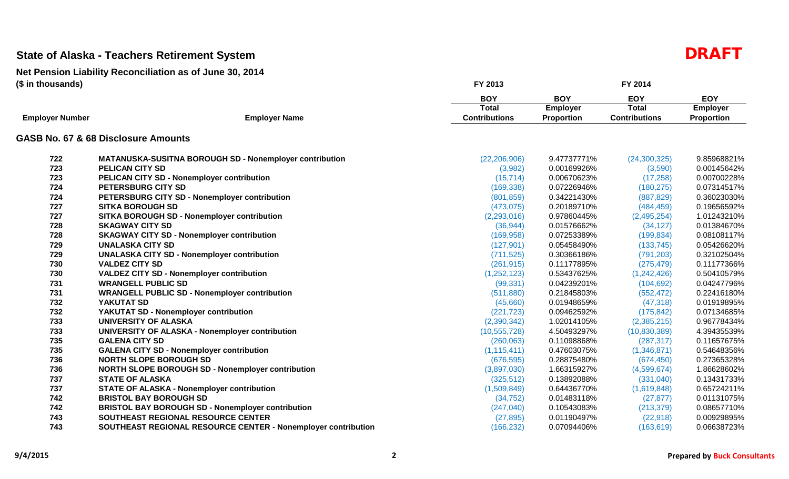|                        |                                                               | <b>BOY</b>           | <b>BOY</b>        | <b>EOY</b>           | <b>EOY</b>        |
|------------------------|---------------------------------------------------------------|----------------------|-------------------|----------------------|-------------------|
|                        |                                                               | Total                | <b>Employer</b>   | <b>Total</b>         | <b>Employer</b>   |
| <b>Employer Number</b> | <b>Employer Name</b>                                          | <b>Contributions</b> | <b>Proportion</b> | <b>Contributions</b> | <b>Proportion</b> |
|                        | GASB No. 67 & 68 Disclosure Amounts                           |                      |                   |                      |                   |
| 722                    | MATANUSKA-SUSITNA BOROUGH SD - Nonemployer contribution       | (22, 206, 906)       | 9.47737771%       | (24, 300, 325)       | 9.85968821%       |
| 723                    | <b>PELICAN CITY SD</b>                                        | (3,982)              | 0.00169926%       | (3,590)              | 0.00145642%       |
| 723                    | PELICAN CITY SD - Nonemployer contribution                    | (15, 714)            | 0.00670623%       | (17, 258)            | 0.00700228%       |
| 724                    | PETERSBURG CITY SD                                            | (169, 338)           | 0.07226946%       | (180, 275)           | 0.07314517%       |
| 724                    | PETERSBURG CITY SD - Nonemployer contribution                 | (801, 859)           | 0.34221430%       | (887, 829)           | 0.36023030%       |
| 727                    | <b>SITKA BOROUGH SD</b>                                       | (473, 075)           | 0.20189710%       | (484, 459)           | 0.19656592%       |
| 727                    | SITKA BOROUGH SD - Nonemployer contribution                   | (2,293,016)          | 0.97860445%       | (2,495,254)          | 1.01243210%       |
| 728                    | <b>SKAGWAY CITY SD</b>                                        | (36, 944)            | 0.01576662%       | (34, 127)            | 0.01384670%       |
| 728                    | <b>SKAGWAY CITY SD - Nonemployer contribution</b>             | (169, 958)           | 0.07253389%       | (199, 834)           | 0.08108117%       |
| 729                    | <b>UNALASKA CITY SD</b>                                       | (127, 901)           | 0.05458490%       | (133, 745)           | 0.05426620%       |
| 729                    | <b>UNALASKA CITY SD - Nonemployer contribution</b>            | (711, 525)           | 0.30366186%       | (791, 203)           | 0.32102504%       |
| 730                    | <b>VALDEZ CITY SD</b>                                         | (261, 915)           | 0.11177895%       | (275, 479)           | 0.11177366%       |
| 730                    | <b>VALDEZ CITY SD - Nonemployer contribution</b>              | (1,252,123)          | 0.53437625%       | (1,242,426)          | 0.50410579%       |
| 731                    | <b>WRANGELL PUBLIC SD</b>                                     | (99, 331)            | 0.04239201%       | (104, 692)           | 0.04247796%       |
| 731                    | <b>WRANGELL PUBLIC SD - Nonemployer contribution</b>          | (511, 880)           | 0.21845803%       | (552, 472)           | 0.22416180%       |
| 732                    | YAKUTAT SD                                                    | (45,660)             | 0.01948659%       | (47, 318)            | 0.01919895%       |
| 732                    | YAKUTAT SD - Nonemployer contribution                         | (221, 723)           | 0.09462592%       | (175, 842)           | 0.07134685%       |
| 733                    | <b>UNIVERSITY OF ALASKA</b>                                   | (2,390,342)          | 1.02014105%       | (2,385,215)          | 0.96778434%       |
| 733                    | UNIVERSITY OF ALASKA - Nonemployer contribution               | (10, 555, 728)       | 4.50493297%       | (10, 830, 389)       | 4.39435539%       |
| 735                    | <b>GALENA CITY SD</b>                                         | (260, 063)           | 0.11098868%       | (287, 317)           | 0.11657675%       |
| 735                    | <b>GALENA CITY SD - Nonemployer contribution</b>              | (1, 115, 411)        | 0.47603075%       | (1,346,871)          | 0.54648356%       |
| 736                    | <b>NORTH SLOPE BOROUGH SD</b>                                 | (676, 595)           | 0.28875480%       | (674, 450)           | 0.27365328%       |
| 736                    | <b>NORTH SLOPE BOROUGH SD - Nonemployer contribution</b>      | (3,897,030)          | 1.66315927%       | (4,599,674)          | 1.86628602%       |
| 737                    | <b>STATE OF ALASKA</b>                                        | (325, 512)           | 0.13892088%       | (331,040)            | 0.13431733%       |
| 737                    | <b>STATE OF ALASKA - Nonemployer contribution</b>             | (1,509,849)          | 0.64436770%       | (1,619,848)          | 0.65724211%       |
| 742                    | <b>BRISTOL BAY BOROUGH SD</b>                                 | (34, 752)            | 0.01483118%       | (27, 877)            | 0.01131075%       |
| 742                    | <b>BRISTOL BAY BOROUGH SD - Nonemployer contribution</b>      | (247, 040)           | 0.10543083%       | (213, 379)           | 0.08657710%       |
| 743                    | SOUTHEAST REGIONAL RESOURCE CENTER                            | (27, 895)            | 0.01190497%       | (22, 918)            | 0.00929895%       |
| 743                    | SOUTHEAST REGIONAL RESOURCE CENTER - Nonemployer contribution | (166, 232)           | 0.07094406%       | (163, 619)           | 0.06638723%       |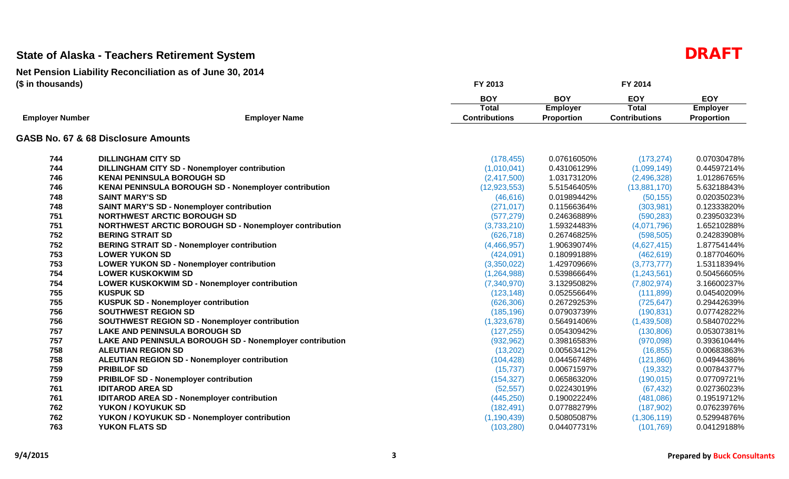|                        |                                                               | <b>BOY</b>           | <b>BOY</b>        | <b>EOY</b>           | <b>EOY</b>      |
|------------------------|---------------------------------------------------------------|----------------------|-------------------|----------------------|-----------------|
|                        |                                                               | Total                | <b>Employer</b>   | <b>Total</b>         | <b>Employer</b> |
| <b>Employer Number</b> | <b>Employer Name</b>                                          | <b>Contributions</b> | <b>Proportion</b> | <b>Contributions</b> | Proportion      |
|                        | GASB No. 67 & 68 Disclosure Amounts                           |                      |                   |                      |                 |
| 744                    | <b>DILLINGHAM CITY SD</b>                                     | (178, 455)           | 0.07616050%       | (173, 274)           | 0.07030478%     |
| 744                    | <b>DILLINGHAM CITY SD - Nonemployer contribution</b>          | (1,010,041)          | 0.43106129%       | (1,099,149)          | 0.44597214%     |
| 746                    | <b>KENAI PENINSULA BOROUGH SD</b>                             | (2,417,500)          | 1.03173120%       | (2,496,328)          | 1.01286765%     |
| 746                    | <b>KENAI PENINSULA BOROUGH SD - Nonemployer contribution</b>  | (12, 923, 553)       | 5.51546405%       | (13,881,170)         | 5.63218843%     |
| 748                    | <b>SAINT MARY'S SD</b>                                        | (46, 616)            | 0.01989442%       | (50, 155)            | 0.02035023%     |
| 748                    | <b>SAINT MARY'S SD - Nonemployer contribution</b>             | (271, 017)           | 0.11566364%       | (303, 981)           | 0.12333820%     |
| 751                    | <b>NORTHWEST ARCTIC BOROUGH SD</b>                            | (577, 279)           | 0.24636889%       | (590, 283)           | 0.23950323%     |
| 751                    | <b>NORTHWEST ARCTIC BOROUGH SD - Nonemployer contribution</b> | (3,733,210)          | 1.59324483%       | (4,071,796)          | 1.65210288%     |
| 752                    | <b>BERING STRAIT SD</b>                                       | (626, 718)           | 0.26746825%       | (598, 505)           | 0.24283908%     |
| 752                    | <b>BERING STRAIT SD - Nonemployer contribution</b>            | (4,466,957)          | 1.90639074%       | (4,627,415)          | 1.87754144%     |
| 753                    | <b>LOWER YUKON SD</b>                                         | (424,091)            | 0.18099188%       | (462, 619)           | 0.18770460%     |
| 753                    | <b>LOWER YUKON SD - Nonemployer contribution</b>              | (3,350,022)          | 1.42970966%       | (3,773,777)          | 1.53118394%     |
| 754                    | <b>LOWER KUSKOKWIM SD</b>                                     | (1,264,988)          | 0.53986664%       | (1,243,561)          | 0.50456605%     |
| 754                    | LOWER KUSKOKWIM SD - Nonemployer contribution                 | (7,340,970)          | 3.13295082%       | (7,802,974)          | 3.16600237%     |
| 755                    | <b>KUSPUK SD</b>                                              | (123, 148)           | 0.05255664%       | (111, 899)           | 0.04540209%     |
| 755                    | <b>KUSPUK SD - Nonemployer contribution</b>                   | (626, 306)           | 0.26729253%       | (725, 647)           | 0.29442639%     |
| 756                    | <b>SOUTHWEST REGION SD</b>                                    | (185, 196)           | 0.07903739%       | (190, 831)           | 0.07742822%     |
| 756                    | <b>SOUTHWEST REGION SD - Nonemployer contribution</b>         | (1,323,678)          | 0.56491406%       | (1,439,508)          | 0.58407022%     |
| 757                    | <b>LAKE AND PENINSULA BOROUGH SD</b>                          | (127, 255)           | 0.05430942%       | (130, 806)           | 0.05307381%     |
| 757                    | LAKE AND PENINSULA BOROUGH SD - Nonemployer contribution      | (932, 962)           | 0.39816583%       | (970,098)            | 0.39361044%     |
| 758                    | <b>ALEUTIAN REGION SD</b>                                     | (13,202)             | 0.00563412%       | (16, 855)            | 0.00683863%     |
| 758                    | <b>ALEUTIAN REGION SD - Nonemployer contribution</b>          | (104, 428)           | 0.04456748%       | (121, 860)           | 0.04944386%     |
| 759                    | <b>PRIBILOF SD</b>                                            | (15, 737)            | 0.00671597%       | (19, 332)            | 0.00784377%     |
| 759                    | <b>PRIBILOF SD - Nonemployer contribution</b>                 | (154, 327)           | 0.06586320%       | (190, 015)           | 0.07709721%     |
| 761                    | <b>IDITAROD AREA SD</b>                                       | (52, 557)            | 0.02243019%       | (67, 432)            | 0.02736023%     |
| 761                    | <b>IDITAROD AREA SD - Nonemployer contribution</b>            | (445, 250)           | 0.19002224%       | (481,086)            | 0.19519712%     |
| 762                    | YUKON / KOYUKUK SD                                            | (182, 491)           | 0.07788279%       | (187,902)            | 0.07623976%     |
| 762                    | YUKON / KOYUKUK SD - Nonemployer contribution                 | (1, 190, 439)        | 0.50805087%       | (1,306,119)          | 0.52994876%     |
| 763                    | <b>YUKON FLATS SD</b>                                         | (103, 280)           | 0.04407731%       | (101, 769)           | 0.04129188%     |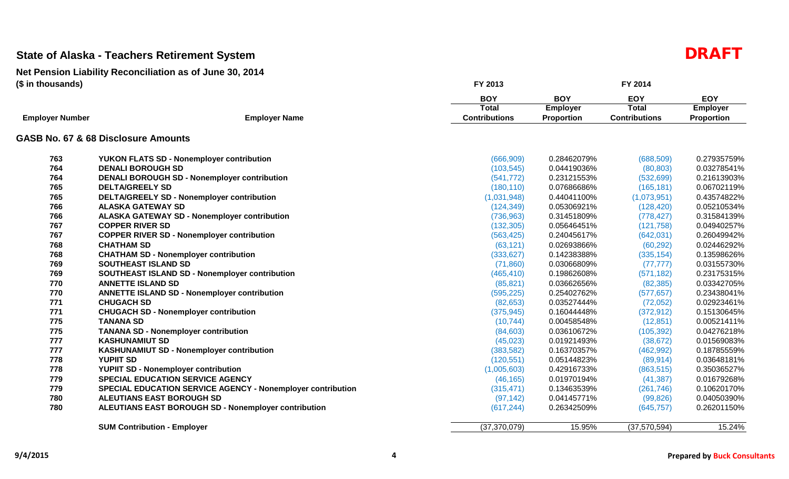|                        |                                                                    | <b>BOY</b>           | <b>BOY</b>        | <b>EOY</b>           | <b>EOY</b>        |
|------------------------|--------------------------------------------------------------------|----------------------|-------------------|----------------------|-------------------|
|                        |                                                                    | Total                | <b>Employer</b>   | <b>Total</b>         | <b>Employer</b>   |
| <b>Employer Number</b> | <b>Employer Name</b>                                               | <b>Contributions</b> | <b>Proportion</b> | <b>Contributions</b> | <b>Proportion</b> |
|                        | GASB No. 67 & 68 Disclosure Amounts                                |                      |                   |                      |                   |
| 763                    | <b>YUKON FLATS SD - Nonemployer contribution</b>                   | (666, 909)           | 0.28462079%       | (688, 509)           | 0.27935759%       |
| 764                    | <b>DENALI BOROUGH SD</b>                                           | (103, 545)           | 0.04419036%       | (80, 803)            | 0.03278541%       |
| 764                    | <b>DENALI BOROUGH SD - Nonemployer contribution</b>                | (541, 772)           | 0.23121553%       | (532, 699)           | 0.21613903%       |
| 765                    | <b>DELTA/GREELY SD</b>                                             | (180, 110)           | 0.07686686%       | (165, 181)           | 0.06702119%       |
| 765                    | <b>DELTA/GREELY SD - Nonemployer contribution</b>                  | (1,031,948)          | 0.44041100%       | (1,073,951)          | 0.43574822%       |
| 766                    | <b>ALASKA GATEWAY SD</b>                                           | (124, 349)           | 0.05306921%       | (128, 420)           | 0.05210534%       |
| 766                    | <b>ALASKA GATEWAY SD - Nonemployer contribution</b>                | (736, 963)           | 0.31451809%       | (778, 427)           | 0.31584139%       |
| 767                    | <b>COPPER RIVER SD</b>                                             | (132, 305)           | 0.05646451%       | (121, 758)           | 0.04940257%       |
| 767                    | <b>COPPER RIVER SD - Nonemployer contribution</b>                  | (563, 425)           | 0.24045617%       | (642, 031)           | 0.26049942%       |
| 768                    | <b>CHATHAM SD</b>                                                  | (63, 121)            | 0.02693866%       | (60, 292)            | 0.02446292%       |
| 768                    | <b>CHATHAM SD - Nonemployer contribution</b>                       | (333, 627)           | 0.14238388%       | (335, 154)           | 0.13598626%       |
| 769                    | SOUTHEAST ISLAND SD                                                | (71, 860)            | 0.03066809%       | (77, 777)            | 0.03155730%       |
| 769                    | <b>SOUTHEAST ISLAND SD - Nonemployer contribution</b>              | (465, 410)           | 0.19862608%       | (571, 182)           | 0.23175315%       |
| 770                    | <b>ANNETTE ISLAND SD</b>                                           | (85, 821)            | 0.03662656%       | (82, 385)            | 0.03342705%       |
| 770                    | <b>ANNETTE ISLAND SD - Nonemployer contribution</b>                | (595, 225)           | 0.25402762%       | (577, 657)           | 0.23438041%       |
| 771                    | <b>CHUGACH SD</b>                                                  | (82, 653)            | 0.03527444%       | (72,052)             | 0.02923461%       |
| 771                    | <b>CHUGACH SD - Nonemployer contribution</b>                       | (375, 945)           | 0.16044448%       | (372, 912)           | 0.15130645%       |
| 775                    | <b>TANANA SD</b>                                                   | (10, 744)            | 0.00458548%       | (12, 851)            | 0.00521411%       |
| 775                    | <b>TANANA SD - Nonemployer contribution</b>                        | (84,603)             | 0.03610672%       | (105, 392)           | 0.04276218%       |
| 777                    | <b>KASHUNAMIUT SD</b>                                              | (45, 023)            | 0.01921493%       | (38, 672)            | 0.01569083%       |
| 777                    | <b>KASHUNAMIUT SD - Nonemployer contribution</b>                   | (383, 582)           | 0.16370357%       | (462, 992)           | 0.18785559%       |
| 778                    | <b>YUPIIT SD</b>                                                   | (120, 551)           | 0.05144823%       | (89, 914)            | 0.03648181%       |
| 778                    | <b>YUPIIT SD - Nonemployer contribution</b>                        | (1,005,603)          | 0.42916733%       | (863, 515)           | 0.35036527%       |
| 779                    | <b>SPECIAL EDUCATION SERVICE AGENCY</b>                            | (46, 165)            | 0.01970194%       | (41, 387)            | 0.01679268%       |
| 779                    | <b>SPECIAL EDUCATION SERVICE AGENCY - Nonemployer contribution</b> | (315, 471)           | 0.13463539%       | (261, 746)           | 0.10620170%       |
| 780                    | <b>ALEUTIANS EAST BOROUGH SD</b>                                   | (97, 142)            | 0.04145771%       | (99, 826)            | 0.04050390%       |
| 780                    | ALEUTIANS EAST BOROUGH SD - Nonemployer contribution               | (617, 244)           | 0.26342509%       | (645, 757)           | 0.26201150%       |
|                        | <b>SUM Contribution - Employer</b>                                 | (37, 370, 079)       | 15.95%            | (37,570,594)         | 15.24%            |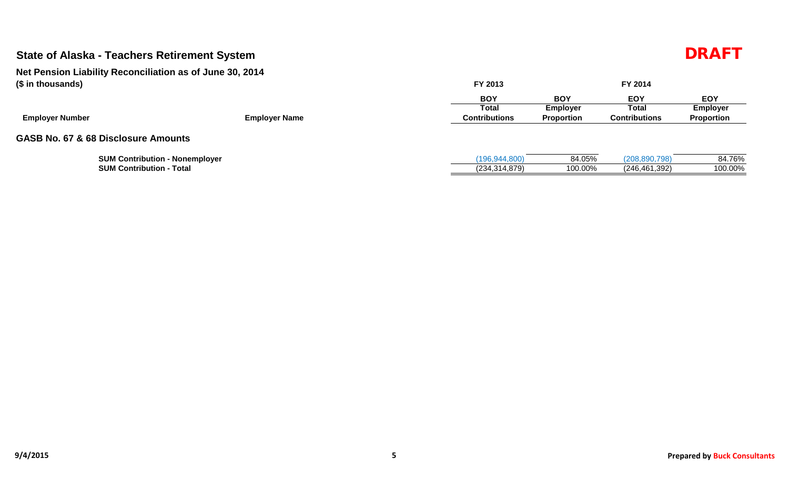| (\$ in thousands)<br><b>Employer Number</b><br><b>Employer Name</b> |  | FY 2013              |                 | FY 2014              |                 |  |  |  |
|---------------------------------------------------------------------|--|----------------------|-----------------|----------------------|-----------------|--|--|--|
|                                                                     |  | <b>BOY</b>           | <b>BOY</b>      | <b>EOY</b>           | <b>EOY</b>      |  |  |  |
|                                                                     |  | Total                | <b>Employer</b> | Total                | <b>Employer</b> |  |  |  |
|                                                                     |  | <b>Contributions</b> | Proportion      | <b>Contributions</b> | Proportion      |  |  |  |
| GASB No. 67 & 68 Disclosure Amounts                                 |  |                      |                 |                      |                 |  |  |  |
| <b>SUM Contribution - Nonemployer</b>                               |  | (196, 944, 800)      | 84.05%          | (208, 890, 798)      | 84.76%          |  |  |  |
| <b>SUM Contribution - Total</b>                                     |  | (234, 314, 879)      | 100.00%         | (246, 461, 392)      | 100.00%         |  |  |  |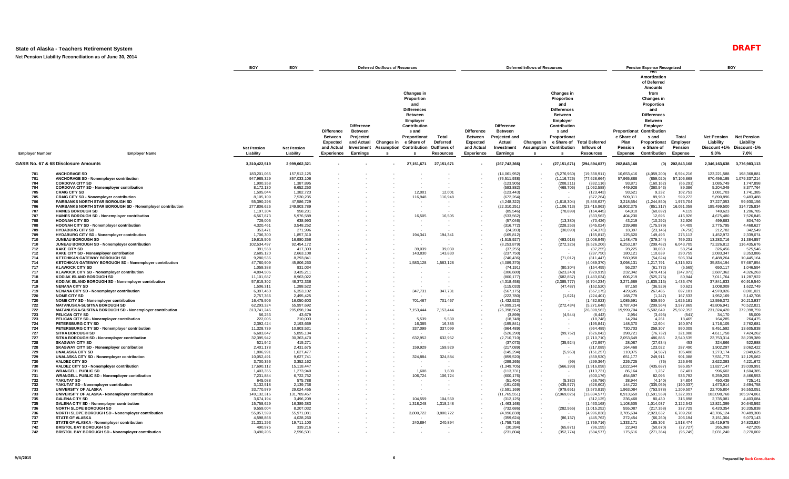**Net Pension Liability Reconciliation as of June 30, 2014**

|                                                      |                                                                                                                                                                                                                                                                                                                    | <b>BOY</b>                                                                                                  | EOY                                                                                                         | <b>Deferred Outflows of Resources</b>                                       |                                                                            | <b>Deferred Inflows of Resources</b> |                                                                                                                                                                                     |                                                             |                                                                                    |                                                                                                                         |        | <b>Pension Expense Recognized</b>                                                                                                                                                                    | EOY                                                                                                                      |                                                                                               |                                                                                                                                                                                                                     |                                                                                                |                                                                                                             |                                                                                                               |
|------------------------------------------------------|--------------------------------------------------------------------------------------------------------------------------------------------------------------------------------------------------------------------------------------------------------------------------------------------------------------------|-------------------------------------------------------------------------------------------------------------|-------------------------------------------------------------------------------------------------------------|-----------------------------------------------------------------------------|----------------------------------------------------------------------------|--------------------------------------|-------------------------------------------------------------------------------------------------------------------------------------------------------------------------------------|-------------------------------------------------------------|------------------------------------------------------------------------------------|-------------------------------------------------------------------------------------------------------------------------|--------|------------------------------------------------------------------------------------------------------------------------------------------------------------------------------------------------------|--------------------------------------------------------------------------------------------------------------------------|-----------------------------------------------------------------------------------------------|---------------------------------------------------------------------------------------------------------------------------------------------------------------------------------------------------------------------|------------------------------------------------------------------------------------------------|-------------------------------------------------------------------------------------------------------------|---------------------------------------------------------------------------------------------------------------|
| <b>Employer Number</b><br><b>Employer Name</b>       |                                                                                                                                                                                                                                                                                                                    | <b>Net Pension</b><br>Liability                                                                             | <b>Net Pension</b><br>Liability                                                                             | <b>Difference</b><br><b>Between</b><br>Expected<br>and Actual<br>Experience | <b>Difference</b><br><b>Between</b><br>Projected<br>Investment<br>Earnings | and Actual Changes in                | <b>Changes in</b><br>Proportion<br>and<br><b>Differences</b><br><b>Between</b><br>Employer<br>Contribution<br>s and<br>Proportionat<br>e Share of<br><b>Assumption Contribution</b> | Total<br><b>Deferred</b><br>Outflows of<br><b>Resources</b> | <b>Difference</b><br><b>Between</b><br><b>Expected</b><br>and Actual<br>Experience | <b>Difference</b><br><b>Between</b><br>Projected and<br>Actual<br>Investment<br>Earnings                                |        | <b>Changes in</b><br>Proportion<br>and<br><b>Differences</b><br><b>Between</b><br>Employer<br>Contribution<br>s and<br>Proportionat<br>Changes in e Share of<br><b>Assumption Contribution</b><br>-S | <b>Total Deferred</b><br>Inflows of<br><b>Resources</b>                                                                  | Proportionat<br>e Share of<br>Plan<br>Pension<br>Expense                                      | Amortization<br>of Deferred<br><b>Amounts</b><br>from<br>Changes in<br>Proportion<br>and<br><b>Differences</b><br><b>Between</b><br>Employer<br>Contribution<br>s and<br>Proportionat<br>e Share of<br>Contribution | Total<br>Emplover<br>Pension<br>Expense                                                        | <b>Net Pension</b><br>Liability<br>Discount +1%<br>$9.0\%$                                                  | <b>Net Pension</b><br>Liability<br>Discount -1%<br>7.0%                                                       |
|                                                      | GASB No. 67 & 68 Disclosure Amounts                                                                                                                                                                                                                                                                                | 3,310,422,519                                                                                               | 2,999,062,321                                                                                               |                                                                             |                                                                            |                                      | 27,151,671                                                                                                                                                                          | 27, 151, 671                                                | $\sim$                                                                             | (267, 742, 366)                                                                                                         | $\sim$ | (27, 151, 671)                                                                                                                                                                                       | (294, 894, 037)                                                                                                          | 202,843,168                                                                                   | (0)                                                                                                                                                                                                                 | 202,843,168                                                                                    | 2,346,163,638                                                                                               | 3,776,983,113                                                                                                 |
| 701<br>701<br>704<br>704<br>705<br>705<br>706<br>706 | <b>ANCHORAGE SD</b><br>ANCHORAGE SD - Nonemployer contribution<br><b>CORDOVA CITY SD</b><br>CORDOVA CITY SD - Nonemployer contribution<br><b>CRAIG CITY SD</b><br><b>CRAIG CITY SD - Nonemployer contribution</b><br>FAIRBANKS NORTH STAR BOROUGH SD<br>FAIRBANKS NORTH STAR BOROUGH SD - Nonemployer contribution | 183,201,065<br>947,985,329<br>1.900.358<br>8,172,130<br>1,505,044<br>8,105,109<br>55,390,298<br>277,806,626 | 157,512,125<br>857,033,106<br>1.387.895<br>6,652,250<br>1,382,723<br>7,530,235<br>47,586,729<br>249,903,789 |                                                                             |                                                                            |                                      | 12,001<br>116,948                                                                                                                                                                   | 12,001<br>116,948                                           |                                                                                    | (14,061,952)<br>(76, 511, 938)<br>(123, 905)<br>(593, 882)<br>(123, 443)<br>(672, 264)<br>(4,248,322)<br>(22, 310, 251) |        | (5,276,960)<br>(1, 116, 726)<br>(208.211)<br>(468, 706)<br>(1,618,304)<br>(1, 106, 713)                                                                                                              | (19, 338, 911)<br>(77,628,664)<br>(332, 116)<br>(1,062,588)<br>(123, 443)<br>(672, 264)<br>(5,866,627)<br>(23, 416, 963) | 10,653,416<br>57,965,888<br>93.871<br>449,928<br>93,521<br>509,311<br>3,218,554<br>16,902,375 | (4,059,200)<br>(859, 020)<br>(160.162)<br>(360, 543)<br>9,232<br>89,960<br>(1,244,850)<br>(851, 317)                                                                                                                | 6,594,216<br>57,106,868<br>(66.291)<br>89,386<br>102,753<br>599,272<br>1,973,704<br>16,051,058 | 123,221,588<br>670,456,195<br>1.085.749<br>5,204,049<br>1,081,703<br>5,890,896<br>37,227,053<br>195,499,500 | 198,368,881<br>1,079,337,214<br>1.747.898<br>8,377,764<br>1,741,385<br>9,483,488<br>59,930,156<br>314,725,834 |
| 707<br>707<br>708<br>708<br>709<br>709               | <b>HAINES BOROUGH SD</b><br>HAINES BOROUGH SD - Nonemployer contribution<br><b>HOONAH CITY SD</b><br>HOONAH CITY SD - Nonemployer contribution<br><b>HYDABURG CITY SD</b><br>HYDABURG CITY SD - Nonemployer contribution                                                                                           | 1,197,304<br>6,567,873<br>729,005<br>4,320,461<br>353,471<br>1,706,300                                      | 958,231<br>5,976,589<br>638,993<br>3,548,252<br>271,996<br>1,857,310                                        |                                                                             |                                                                            |                                      | 16,505<br>194,341                                                                                                                                                                   | 16,505<br>194,341                                           |                                                                                    | (85, 546)<br>(533, 562)<br>(57,046)<br>(316, 772)<br>(24, 283)<br>(165, 812)                                            |        | (78, 899)<br>(13,380)<br>(228, 253)<br>(30,090)                                                                                                                                                      | (164, 445)<br>(533, 562)<br>(70, 426)<br>(545, 024)<br>(54, 373)<br>(165, 812)                                           | 64,810<br>404,230<br>43,219<br>239,988<br>18,397<br>125,620                                   | (60, 692)<br>12,696<br>(10, 292)<br>(175, 579)<br>(23, 146)<br>149,493                                                                                                                                              | 4,119<br>416,926<br>32,926<br>64,409<br>(4,750)<br>275,113                                     | 749,623<br>4,675,480<br>499,883<br>2,775,795<br>212,782<br>1,452,972                                        | 1,206,785<br>7,526,845<br>804,740<br>4,468,627<br>342,549<br>2,339,074                                        |
| 710<br>710<br>712<br>712<br>714<br>714               | JUNEAU BOROUGH SD<br>JUNEAU BOROUGH SD - Nonemployer contribution<br><b>KAKE CITY SD</b><br>KAKE CITY SD - Nonemployer contribution<br>KETCHIKAN GATEWAY BOROUGH SD<br>KETCHIKAN GATEWAY BOROUGH SD - Nonemployer contribution                                                                                     | 19,615,505<br>102,534,497<br>391,558<br>2,685,120<br>9,280,536<br>47,760,909                                | 16,980,356<br>92,454,172<br>417.303<br>2,663,108<br>8,293,841<br>45,806,260                                 |                                                                             |                                                                            |                                      | 39,039<br>143,830<br>1,583,128                                                                                                                                                      | 39,039<br>143,830<br>1,583,128                              |                                                                                    | (1,515,927)<br>(8, 253, 879)<br>(37, 255)<br>(237, 750)<br>(740, 436)<br>(4,089,370)                                    |        | (493, 018)<br>(272, 326)<br>(71, 012)                                                                                                                                                                | (2,008,945)<br>(8,526,206)<br>(37, 255)<br>(237,750)<br>(811, 447)<br>(4,089,370)                                        | 1,148,475<br>6,253,187<br>28,225<br>180,121<br>560,958<br>3,098,131                           | (379, 244)<br>(209, 482)<br>30,030<br>110,639<br>(54, 624)<br>1,217,791                                                                                                                                             | 769.231<br>6,043,705<br>58,254<br>290,759<br>506,334<br>4,315,921                              | 13,283,716<br>72,326,812<br>326,456<br>2,083,347<br>6,488,264<br>35,834,194                                 | 21,384,857<br>116,435,676<br>525,546<br>3,353,886<br>10,445,164<br>57.687.854                                 |
| 717<br>717<br>718<br>718<br>719<br>719               | <b>KLAWOCK CITY SD</b><br>KLAWOCK CITY SD - Nonemployer contribution<br>KODIAK ISLAND BOROUGH SD<br>KODIAK ISLAND BOROUGH SD - Nonemployer contribution<br><b>NENANA CITY SD</b>                                                                                                                                   | 1,059,388<br>4,894,506<br>11,101,687<br>57.615.302<br>1,506,311                                             | 831,034<br>3,435,211<br>8,963,022<br>48.372.336<br>1,288,522                                                |                                                                             |                                                                            |                                      |                                                                                                                                                                                     |                                                             |                                                                                    | (74, 191)<br>(306, 680)<br>(800, 177)<br>(4.318.458)<br>(115, 033)                                                      |        | (80, 304)<br>(623, 240)<br>(682, 857)<br>(2.385.777)<br>(47, 487)                                                                                                                                    | (154, 495)<br>(929, 919)<br>(1,483,034)<br>(6.704.234)<br>(162, 520)                                                     | 56,207<br>232,342<br>606,219<br>3.271.689<br>87,150                                           | (61, 772)<br>(479, 415)<br>(525, 275)<br>(1.835.213)<br>(36, 529)                                                                                                                                                   | (5, 565)<br>(247, 073)<br>80,944<br>1.436.476<br>50,621                                        | 650,117<br>2,687,362<br>7,011,764<br>37.841.633<br>1,008,009                                                | 1,046,594<br>4,326,263<br>11,287,922<br>60.919.540<br>1,622,749                                               |
| 720<br>720<br>722<br>722<br>723                      | NENANA CITY SD - Nonemployer contribution<br><b>NOME CITY SD</b><br>NOME CITY SD - Nonemployer contribution<br><b>MATANUSKA-SUSITNA BOROUGH SD</b><br>MATANUSKA-SUSITNA BOROUGH SD - Nonemployer contribution<br>PELICAN CITY SD                                                                                   | 6,397,460<br>2,757,366<br>16,475,906<br>62.293.324<br>313,741,246<br>56.253                                 | 6,353,102<br>2,495,425<br>16.050.603<br>55.997.692<br>295,698,194<br>43,679                                 |                                                                             |                                                                            |                                      | 347,731<br>701,467<br>7,153,444                                                                                                                                                     | 347,731<br>701,467<br>7,153,444                             |                                                                                    | (567, 175)<br>(222, 780)<br>(1,432,923)<br>(4,999,214)<br>(26, 398, 562)<br>(3,899)                                     |        | (1,621)<br>(272, 434)<br>(4, 544)                                                                                                                                                                    | (567, 175)<br>(224, 401)<br>(1,432,923)<br>(5.271.648)<br>(26, 398, 562)<br>(8, 443)                                     | 429,695<br>168,779<br>1.085.591<br>3.787.434<br>19,999,704<br>2,954                           | 267,485<br>(1, 247)<br>539.590<br>(209.564)<br>5,502,649<br>(3, 495)                                                                                                                                                | 697,181<br>167,533<br>1.625.181<br>3.577.869<br>25,502,353<br>(541)                            | 4,970,026<br>1,952,169<br>12,556,372<br>43.806.941<br>231,324,420<br>34,170                                 | 8,001,021<br>3,142,708<br>20,213,937<br>70,522,821<br>372,398,759<br>55,009                                   |
| 723<br>724<br>724<br>727<br>727<br>728               | PELICAN CITY SD - Nonemployer contribution<br>PETERSBURG CITY SD<br>PETERSBURG CITY SD - Nonemployer contribution<br><b>SITKA BOROUGH SD</b><br>SITKA BOROUGH SD - Nonemployer contribution<br><b>SKAGWAY CITY SD</b>                                                                                              | 222,005<br>2,392,424<br>11.328.739<br>6,683,647<br>32,395,942<br>521,942                                    | 210,003<br>2,193,669<br>10.803.531<br>5,895,134<br>30,363,470<br>415,271                                    |                                                                             |                                                                            |                                      | 5,539<br>16,385<br>337,099<br>632,952                                                                                                                                               | 5,539<br>16,385<br>337,099<br>632,952                       |                                                                                    | (18, 748)<br>(195, 841)<br>(964.489)<br>(526, 290)<br>(2,710,710)<br>(37,073)                                           |        | (99, 752)<br>(35, 924)                                                                                                                                                                               | (18, 748)<br>(195, 841)<br>(964.489)<br>(626, 042)<br>(2,710,710)<br>(72, 997)                                           | 14,204<br>148,370<br>730,703<br>398,721<br>2,053,649<br>28,087                                | 4,261<br>12,604<br>259,307<br>(76, 732)<br>486,886<br>(27, 634)                                                                                                                                                     | 18,465<br>160,974<br>990.009<br>321,988<br>2,540,535<br>453                                    | 164,285<br>1,716,105<br>8.451.592<br>4,611,758<br>23,753,314<br>324,866                                     | 264,475<br>2,762,681<br>13.605.838<br>7,424,262<br>38,239,389<br>522,988                                      |
| 728<br>729<br>729<br>730<br>730<br>731               | SKAGWAY CITY SD - Nonemployer contribution<br><b>UNALASKA CITY SD</b><br>UNALASKA CITY SD - Nonemployer contribution<br><b>VALDEZ CITY SD</b><br>VALDEZ CITY SD - Nonemployer contribution<br><b>WRANGELL PUBLIC SD</b>                                                                                            | 2,401,178<br>1.806.991<br>10,052,491<br>3,700,356<br>17,690,112<br>1,403,355                                | 2,431,675<br>1.627.477<br>9,627,741<br>3,352,162<br>15,118,447<br>1,273,940                                 |                                                                             |                                                                            |                                      | 159,929<br>324,884<br>1,608                                                                                                                                                         | 159,929<br>324,884<br>1,608                                 |                                                                                    | (217,089)<br>(145, 294)<br>(859, 520)<br>(299, 265)<br>(1,349,705)<br>(113, 731)                                        |        | (5,963)<br>(99)<br>(566, 393)                                                                                                                                                                        | (217,089)<br>(151, 257)<br>(859, 520)<br>(299, 364)<br>(1,916,098)<br>(113, 731)                                         | 164.468<br>110,075<br>651,177<br>226,725<br>1,022,544<br>86,164                               | 123,022<br>(4,587)<br>249,911<br>(76)<br>(435, 687)<br>1,237                                                                                                                                                        | 287,490<br>105.488<br>901,088<br>226,649<br>586,857<br>87,401                                  | 1,902,297<br>1,273,174<br>7,531,773<br>2,622,393<br>11,827,147<br>996,602                                   | 3,062,422<br>2.049.625<br>12,125,062<br>4,221,672<br>19,039,991<br>1,604,385                                  |
| 731<br>732<br>732<br>733<br>733                      | <b>WRANGELL PUBLIC SD - Nonemployer contribution</b><br>YAKUTAT SD<br>YAKUTAT SD - Nonemployer contribution<br>UNIVERSITY OF ALASKA<br>UNIVERSITY OF ALASKA - Nonemployer contribution                                                                                                                             | 7,231,884<br>645,088<br>3.132.518<br>33,770,979<br>149,132,316                                              | 6,722,752<br>575,788<br>2,139,736<br>29,024,455<br>131,789,457                                              |                                                                             |                                                                            |                                      | 106,724                                                                                                                                                                             | 106,724                                                     |                                                                                    | (600, 176)<br>(51, 404)<br>(191, 026)<br>(2,591,169)<br>(11,765,551)                                                    |        | (5,382)<br>(435.577)<br>(979, 651)<br>(2,069,026)                                                                                                                                                    | (600, 176)<br>(56, 786)<br>(626, 602)<br>(3,570,819)<br>(13, 834, 577)                                                   | 454,697<br>38,944<br>144.722<br>1,963,084<br>8,913,650                                        | 82,095<br>(4, 140)<br>(335,059)<br>(753, 578)<br>(1,591,559)                                                                                                                                                        | 536,792<br>34,804<br>(190.337)<br>1,209,507<br>7,322,091                                       | 5,259,203<br>450,439<br>1,673,914<br>22,705,804<br>103,098,768                                              | 8,466,553<br>725,141<br>2,694,758<br>36,553,051<br>165,974,061                                                |
| 735<br>735<br>736<br>736<br>737<br>737               | <b>GALENA CITY SD</b><br><b>GALENA CITY SD - Nonemployer contribution</b><br>NORTH SLOPE BOROUGH SD<br>NORTH SLOPE BOROUGH SD - Nonemployer contribution<br><b>STATE OF ALASKA</b><br>STATE OF ALASKA - Nonemployer contribution                                                                                   | 3,674,194<br>15,758,629<br>9.559.004<br>55,057,599<br>4.598.868<br>21,331,293                               | 3,496,209<br>16,389,383<br>8.207.032<br>55,971,081<br>4,028,260<br>19,711,100                               |                                                                             |                                                                            |                                      | 104,559<br>1,318,248<br>3,800,722<br>240,894                                                                                                                                        | 104,559<br>1,318,248<br>3,800,722<br>240,894                |                                                                                    | (312, 125)<br>(1,463,168)<br>(732, 686)<br>(4,996,838)<br>(359, 624)<br>(1,759,716)                                     |        | (282, 566)<br>(86, 137)                                                                                                                                                                              | (312, 125)<br>(1,463,168)<br>(1,015,252)<br>(4,996,838)<br>(445, 762)<br>(1,759,716)                                     | 236,468<br>1,108,505<br>555,087<br>3,785,634<br>272,454<br>1,333,171                          | 80,430<br>1,014,037<br>(217, 358)<br>2,923,632<br>(66, 260)<br>185,303                                                                                                                                              | 316,898<br>2,122,542<br>337,729<br>6,709,266<br>206.194<br>1,518,474                           | 2,735,081<br>12,821,399<br>6,420,354<br>43,786,124<br>3,151,304<br>15,419,975                               | 4,403,084<br>20,640,592<br>10.335.838<br>70,489,308<br>5,073,143<br>24,823,924                                |
| 742<br>742                                           | <b>BRISTOL BAY BOROUGH SD</b><br>BRISTOL BAY BOROUGH SD - Nonemployer contribution                                                                                                                                                                                                                                 | 490.975<br>3,490,206                                                                                        | 339,216<br>2,596,501                                                                                        |                                                                             |                                                                            |                                      |                                                                                                                                                                                     |                                                             |                                                                                    | (30, 284)<br>(231, 804)                                                                                                 |        | (65.871)<br>(352, 774)                                                                                                                                                                               | (96.155)<br>(584, 577)                                                                                                   | 22.943<br>175,616                                                                             | (50.670)<br>(271, 364)                                                                                                                                                                                              | (27.727)<br>(95, 749)                                                                          | 265.369<br>2,031,240                                                                                        | 427.205<br>3,270,002                                                                                          |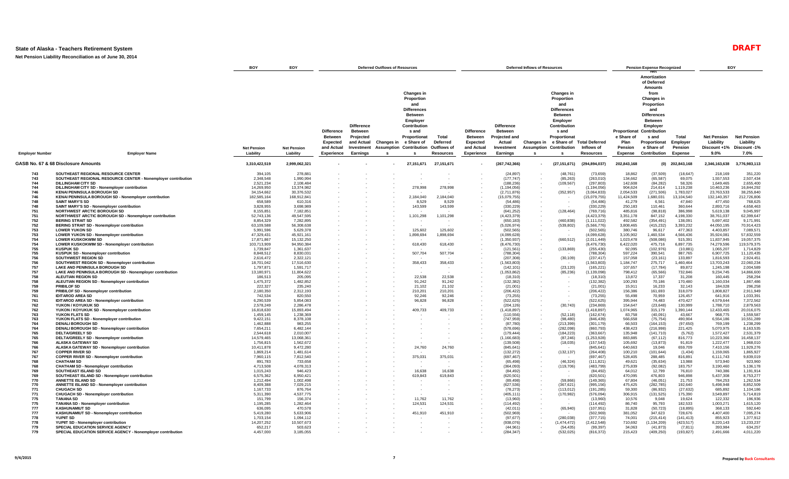**Net Pension Liability Reconciliation as of June 30, 2014**

|                        |                                                                                   | BOY                     | EOY                     | <b>Deferred Outflows of Resources</b>                  |                                                         | <b>Deferred Inflows of Resources</b> |                                                                                                                                                   |                   |                                          |                                                         |                  | <b>Pension Expense Recognized</b>                                                                                                                                    | EOY                            |                                    |                                                                                                                                                                                       |                      |                                 |                                 |
|------------------------|-----------------------------------------------------------------------------------|-------------------------|-------------------------|--------------------------------------------------------|---------------------------------------------------------|--------------------------------------|---------------------------------------------------------------------------------------------------------------------------------------------------|-------------------|------------------------------------------|---------------------------------------------------------|------------------|----------------------------------------------------------------------------------------------------------------------------------------------------------------------|--------------------------------|------------------------------------|---------------------------------------------------------------------------------------------------------------------------------------------------------------------------------------|----------------------|---------------------------------|---------------------------------|
|                        |                                                                                   |                         |                         | <b>Difference</b><br><b>Between</b><br><b>Expected</b> | <b>Difference</b><br>Between<br>Projected<br>and Actual | Changes in                           | <b>Changes in</b><br>Proportion<br>and<br><b>Differences</b><br><b>Between</b><br>Employer<br>Contribution<br>s and<br>Proportionat<br>e Share of | Total<br>Deferred | <b>Difference</b><br>Between<br>Expected | <b>Difference</b><br>Betweer<br>Projected and<br>Actual |                  | <b>Changes in</b><br>Proportion<br>and<br><b>Differences</b><br>Between<br>Employer<br>Contribution<br>s and<br>Proportionat<br>Changes in e Share of Total Deferred |                                | Proportionat<br>e Share of<br>Plan | Amortization<br>of Deferred<br><b>Amounts</b><br>from<br>Changes in<br>Proportion<br>and<br><b>Differences</b><br><b>Between</b><br>Employer<br>Contribution<br>s and<br>Proportionat | Total<br>Employer    | <b>Net Pension</b><br>Liability | <b>Net Pension</b><br>Liability |
|                        |                                                                                   | <b>Net Pension</b>      | <b>Net Pension</b>      | and Actual                                             | Investment                                              | Assumption                           | Contribution                                                                                                                                      | Outflows of       | and Actual                               | Investment                                              |                  | <b>Assumption Contribution</b>                                                                                                                                       | Inflows of                     | Pension                            | e Share of                                                                                                                                                                            | Pension              | Discount +1%                    | Discount -1%                    |
| <b>Employer Number</b> | <b>Employer Name</b>                                                              | Liability               | Liability               | Experience                                             | Earnings                                                | s.                                   | s.                                                                                                                                                | <b>Resources</b>  | Experience                               | Earnings                                                | - S              | -S.                                                                                                                                                                  | Resources                      | Expense                            | Contribution                                                                                                                                                                          | <b>Expense</b>       | $9.0\%$                         | 7.0%                            |
|                        | GASB No. 67 & 68 Disclosure Amounts                                               | 3,310,422,519           | 2,999,062,321           |                                                        |                                                         |                                      | 27,151,671                                                                                                                                        | 27,151,671        |                                          | (267, 742, 366)                                         | $\sim$           | (27, 151, 671)                                                                                                                                                       | (294, 894, 037)                | 202,843,168                        | (O)                                                                                                                                                                                   | 202,843,168          | 2,346,163,638                   | 3,776,983,113                   |
| 743                    | SOUTHEAST REGIONAL RESOURCE CENTER                                                | 394,105                 | 278,881                 |                                                        |                                                         |                                      |                                                                                                                                                   |                   |                                          | (24, 897)                                               |                  | (48, 761)                                                                                                                                                            | (73, 659)                      | 18,862                             | (37, 509)                                                                                                                                                                             | (18, 647)            | 218,169                         | 351,220                         |
| 743                    | SOUTHEAST REGIONAL RESOURCE CENTER - Nonemployer contribution                     | 2,348,548               | 1,990,994               |                                                        |                                                         |                                      |                                                                                                                                                   |                   |                                          | (177, 747)                                              | $\sim$           | (85, 263)                                                                                                                                                            | (263, 010)                     | 134,662                            | (65, 587)                                                                                                                                                                             | 69,075               | 1,557,553                       | 2,507,434                       |
| 744<br>744             | <b>DILLINGHAM CITY SD</b><br>DILLINGHAM CITY SD - Nonemployer contribution        | 2,521,234<br>14.269.950 | 2,108,484<br>13.374.982 |                                                        |                                                         |                                      | 278,998                                                                                                                                           | 278,998           |                                          | (188, 236)<br>(1.194.056)                               | $\sim$           | (109, 567)                                                                                                                                                           | (297, 803)<br>(1.194.056)      | 142,608<br>904.624                 | (84, 282)<br>214.614                                                                                                                                                                  | 58.326<br>1.119.238  | 1,649,465<br>10.463.236         | 2,655,400<br>16.844.292         |
| 746                    | <b>KENAI PENINSULA BOROUGH SD</b>                                                 | 34,154,662              | 30,376,532              |                                                        |                                                         |                                      |                                                                                                                                                   |                   |                                          | (2,711,876)                                             |                  | (352, 957)                                                                                                                                                           | (3,064,833)                    | 2,054,533                          | (271, 506)                                                                                                                                                                            | 1,783,027            | 23,763,533                      | 38,255,840                      |
| 746                    | KENAI PENINSULA BOROUGH SD - Nonemployer contribution                             | 182,585,164             | 168,912,841             |                                                        |                                                         |                                      | 2,184,040                                                                                                                                         | 2,184,040         |                                          | (15,079,755)                                            |                  |                                                                                                                                                                      | (15,079,755)                   | 11,424,509                         | 1,680,031                                                                                                                                                                             | 13,104,540           | 132,140,357                     | 212,726,806                     |
| 748                    | <b>SAINT MARY'S SD</b>                                                            | 658,589                 | 610,316                 |                                                        |                                                         |                                      | 8,529                                                                                                                                             | 8.529             |                                          | (54, 486)                                               |                  |                                                                                                                                                                      | (54, 486)                      | 41,279                             | 6,561                                                                                                                                                                                 | 47,840               | 477,450                         | 768,625                         |
| 748                    | SAINT MARY'S SD - Nonemployer contribution                                        | 3,828,955               | 3,698,989               |                                                        |                                                         |                                      | 143,599                                                                                                                                           | 143,599           |                                          | (330, 229)                                              |                  |                                                                                                                                                                      | (330, 229)                     | 250,183                            | 110,461                                                                                                                                                                               | 360.644              | 2,893,716                       | 4.658.463                       |
| 751                    | <b>NORTHWEST ARCTIC BOROUGH SD</b>                                                | 8.155.851               | 7.182.851               |                                                        |                                                         |                                      |                                                                                                                                                   |                   |                                          | (641, 252)                                              | $\sim$           | (128, 464)                                                                                                                                                           | (769.716)                      | 485.816                            | (98.818)                                                                                                                                                                              | 386.998              | 5.619.138                       | 9.045.997                       |
| 751<br>752             | NORTHWEST ARCTIC BOROUGH SD - Nonemployer contribution<br><b>BERING STRAIT SD</b> | 52,743,136<br>8,854,329 | 49,547,595<br>7,282,895 |                                                        |                                                         |                                      | 1,101,298                                                                                                                                         | 1,101,298         |                                          | (4,423,379)<br>(650, 183)                               |                  | (460, 838)                                                                                                                                                           | (4, 423, 379)<br>(1, 111, 022) | 3,351,178<br>492,582               | 847,152<br>(354, 491)                                                                                                                                                                 | 4,198,330<br>138,091 | 38,761,037<br>5,697,402         | 62,399,647<br>9,171,991         |
| 752                    | <b>BERING STRAIT SD - Nonemployer contribution</b>                                | 63,109,588              | 56,308,638              |                                                        |                                                         |                                      |                                                                                                                                                   |                   |                                          | (5,026,974)                                             |                  | (539, 802)                                                                                                                                                           | (5,566,776)                    | 3,808,465                          | (415, 232)                                                                                                                                                                            | 3,393,232            | 44,050,195                      | 70,914,423                      |
| 753                    | <b>LOWER YUKON SD</b>                                                             | 5,991,596               | 5,629,378               |                                                        |                                                         |                                      | 125,602                                                                                                                                           | 125,602           |                                          | (502, 565)                                              |                  |                                                                                                                                                                      | (502, 565)                     | 380,746                            | 96,617                                                                                                                                                                                | 477,363              | 4,403,857                       | 7,089,571                       |
| 753                    | LOWER YUKON SD - Nonemployer contribution                                         | 47,329,431              | 45.921.161              |                                                        |                                                         |                                      | 1,898,694                                                                                                                                         | 1,898,694         |                                          | (4,099,628)                                             |                  |                                                                                                                                                                      | (4,099,628)                    | 3,105,902                          | 1,460,534                                                                                                                                                                             | 4,566,436            | 35,924,081                      | 57,832,559                      |
| 754                    | <b>LOWER KUSKOKWIM SD</b>                                                         | 17,871,867              | 15,132,250              |                                                        |                                                         |                                      |                                                                                                                                                   |                   |                                          | (1,350,937)                                             |                  | (660, 512)                                                                                                                                                           | (2,011,449)                    | 1,023,478                          | (508, 086)                                                                                                                                                                            | 515,391              | 11,837,945                      | 19,057,375                      |
| 754                    | LOWER KUSKOKWIM SD - Nonemployer contribution                                     | 103,713,909             | 94,950,384              |                                                        |                                                         |                                      | 618,430                                                                                                                                           | 618,430           |                                          | (8, 476, 730)                                           |                  |                                                                                                                                                                      | (8,476,730)                    | 6,422,020                          | 475,716                                                                                                                                                                               | 6,897,735            | 74,279,596                      | 119,579,375                     |
| 755<br>755             | <b>KUSPUK SD</b>                                                                  | 1,739,847<br>8,848,512  | 1,361,637<br>8,830,031  |                                                        |                                                         |                                      | 507,704                                                                                                                                           | 507,704           |                                          | (121, 561)                                              |                  | (133, 869)                                                                                                                                                           | (255, 430)<br>(788, 304)       | 92,095<br>597,224                  | (102, 976)<br>390,541                                                                                                                                                                 | (10, 881)<br>987,765 | 1,065,207<br>6,907,725          | 1,714,829<br>11,120,435         |
| 756                    | KUSPUK SD - Nonemployer contribution<br><b>SOUTHWEST REGION SD</b>                | 2.616.472               | 2.322.121               |                                                        |                                                         |                                      |                                                                                                                                                   |                   |                                          | (788, 304)<br>(207, 308)                                | $\sim$           | (30, 109)                                                                                                                                                            | (237.417)                      | 157.058                            | (23, 161)                                                                                                                                                                             | 133,897              | 1.816.593                       | 2.924.451                       |
| 756                    | SOUTHWEST REGION SD - Nonemployer contribution                                    | 18,701,042              | 17,516,630              |                                                        |                                                         |                                      | 358,433                                                                                                                                           | 358,433           | $\sim$                                   | (1,563,803)                                             | $\sim$           |                                                                                                                                                                      | (1,563,803)                    | 1,184,747                          | 275,717                                                                                                                                                                               | 1,460,464            | 13,703,243                      | 22,060,234                      |
| 757                    | LAKE AND PENINSULA BOROUGH SD                                                     | 1,797,871               | 1,591,717               |                                                        |                                                         |                                      |                                                                                                                                                   |                   |                                          | (142, 101)                                              |                  | (23, 120)                                                                                                                                                            | (165, 221)                     | 107,657                            | (17, 784)                                                                                                                                                                             | 89,872               | 1,245,198                       | 2,004,589                       |
| 757                    | LAKE AND PENINSULA BOROUGH SD - Nonemployer contribution                          | 13,180,971              | 11,804,622              |                                                        |                                                         |                                      |                                                                                                                                                   |                   |                                          | (1,053,862)                                             |                  | (85, 236)                                                                                                                                                            | (1, 139, 098)                  | 798,412                            | (65, 566)                                                                                                                                                                             | 732,846              | 9,234,745                       | 14,866,600                      |
| 758                    | ALEUTIAN REGION SD                                                                | 186,513                 | 205,095                 |                                                        |                                                         |                                      | 22,538                                                                                                                                            | 22,538            |                                          | (18, 310)                                               |                  |                                                                                                                                                                      | (18, 310)                      | 13,872                             | 17,337                                                                                                                                                                                | 31,208               | 160,445                         | 258,294                         |
| 758                    | ALEUTIAN REGION SD - Nonemployer contribution                                     | 1,475,372               | 1,482,852               |                                                        |                                                         |                                      | 91,242                                                                                                                                            | 91.242            |                                          | (132, 382)                                              |                  |                                                                                                                                                                      | (132, 382)                     | 100,293                            | 70,186                                                                                                                                                                                | 170,480              | 1,160,034                       | 1.867.486                       |
| 759<br>759             | <b>PRIBILOF SD</b><br>PRIBILOF SD - Nonemployer contribution                      | 222,327<br>2,180,350    | 235,240<br>2,312,193    |                                                        |                                                         |                                      | 21,102<br>210,201                                                                                                                                 | 21,102<br>210,201 |                                          | (21,001)<br>(206, 422)                                  |                  |                                                                                                                                                                      | (21,001)<br>(206, 422)         | 15,911<br>156,386                  | 16,233<br>161,693                                                                                                                                                                     | 32,143<br>318,079    | 184,028<br>1,808,827            | 296,258<br>2,911,949            |
| 761                    | <b>IDITAROD AREA SD</b>                                                           | 742,534                 | 820,550                 |                                                        |                                                         |                                      | 92,246                                                                                                                                            | 92,246            |                                          | (73, 255)                                               |                  |                                                                                                                                                                      | (73, 255)                      | 55,498                             | 70,959                                                                                                                                                                                | 126,457              | 641,916                         | 1,033,391                       |
| 761                    | <b>IDITAROD AREA SD - Nonemployer contribution</b>                                | 6,290,539               | 5,854,083               |                                                        |                                                         |                                      | 96,828                                                                                                                                            | 96,828            |                                          | (522, 625)                                              |                  |                                                                                                                                                                      | (522, 625)                     | 395,944                            | 74,483                                                                                                                                                                                | 470,427              | 4,579,644                       | 7,372,562                       |
| 762                    | YUKON / KOYUKUK SD                                                                | 2.578.249               | 2.286.478               |                                                        |                                                         |                                      |                                                                                                                                                   |                   |                                          | (204, 126)                                              |                  | (30, 743)                                                                                                                                                            | (234.869)                      | 154,647                            | (23, 648)                                                                                                                                                                             | 130.999              | 1.788.710                       | 2.879.563                       |
| 762                    | YUKON / KOYUKUK SD - Nonemployer contribution                                     | 16,818,630              | 15,893,494              |                                                        |                                                         |                                      | 409,733                                                                                                                                           | 409,733           |                                          | (1,418,897)                                             | $\sim$           |                                                                                                                                                                      | (1,418,897)                    | 1,074,965                          | 315,179                                                                                                                                                                               | 1,390,144            | 12,433,465                      | 20,016,075                      |
| 763                    | YUKON FLATS SD                                                                    | 1.459.145               | 1.238.369               |                                                        |                                                         |                                      |                                                                                                                                                   |                   |                                          | (110, 556)                                              |                  | (52, 118)                                                                                                                                                            | (162, 674)                     | 83,758                             | (40,091)                                                                                                                                                                              | 43,667               | 968.775                         | 1,559,587                       |
| 763<br>764             | YUKON FLATS SD - Nonemployer contribution<br><b>DENALI BOROUGH SD</b>             | 9,422,151<br>1.462.888  | 8,378,108<br>983,255    |                                                        |                                                         |                                      |                                                                                                                                                   |                   |                                          | (747, 959)<br>(87,780)                                  | $\sim$<br>$\sim$ | (98, 480)<br>(213, 399)                                                                                                                                              | (846, 439)<br>(301, 179)       | 566,658<br>66,503                  | (75, 754)<br>(164, 153)                                                                                                                                                               | 490,904<br>(97, 650) | 6,554,186<br>769,199            | 10,551,289<br>1,238,299         |
| 764                    | DENALI BOROUGH SD - Nonemployer contribution                                      | 7,654,211               | 6,482,144               |                                                        |                                                         |                                      |                                                                                                                                                   |                   |                                          | (578, 696)                                              |                  | (282,098)                                                                                                                                                            | (860, 793)                     | 438,423                            | (216,998)                                                                                                                                                                             | 221,425              | 5,070,975                       | 8,163,535                       |
| 765                    | <b>DELTA/GREELY SD</b>                                                            | 2,544,618               | 2,010,007               |                                                        |                                                         |                                      |                                                                                                                                                   |                   |                                          | (179, 444)                                              |                  | (184, 223)                                                                                                                                                           | (363, 667)                     | 135,948                            | (141, 710)                                                                                                                                                                            | (5,762)              | 1,572,427                       | 2,531,379                       |
| 765                    | DELTA/GREELY SD - Nonemployer contribution                                        | 14,579,465              | 13.068.361              |                                                        |                                                         |                                      |                                                                                                                                                   |                   |                                          | (1, 166, 683)                                           |                  | (87, 246)                                                                                                                                                            | (1.253.928)                    | 883.885                            | (67, 112)                                                                                                                                                                             | 816,773              | 10.223.366                      | 16.458.137                      |
| 766                    | ALASKA GATEWAY SD                                                                 | 1,756,815               | 1,562,672               |                                                        |                                                         |                                      |                                                                                                                                                   |                   |                                          | (139, 508)                                              |                  | (18,035)                                                                                                                                                             | (157, 543)                     | 105,692                            | (13, 873)                                                                                                                                                                             | 91,819               | 1,222,477                       | 1,968,010                       |
| 766                    | ALASKA GATEWAY SD - Nonemployer contribution                                      | 10,411,878              | 9,472,280               |                                                        |                                                         |                                      | 24,760                                                                                                                                            | 24,760            |                                          | (845, 641)                                              | $\sim$           |                                                                                                                                                                      | (845, 641)                     | 640,663                            | 19,046                                                                                                                                                                                | 659,709              | 7,410,156                       | 11,929,276                      |
| 767<br>767             | <b>COPPER RIVER SD</b><br><b>COPPER RIVER SD - Nonemployer contribution</b>       | 1,869,214<br>7,960,115  | 1.481.614<br>7,812,540  |                                                        |                                                         |                                      | 375,031                                                                                                                                           | 375,031           |                                          | (132, 272)<br>(697, 467)                                | $\sim$<br>$\sim$ | (132, 137)                                                                                                                                                           | (264, 408)<br>(697, 467)       | 100,210<br>528,405                 | (101, 644)<br>288,485                                                                                                                                                                 | (1, 434)<br>816,891  | 1,159,065<br>6,111,743          | 1,865,927<br>9,839,019          |
| 768                    | <b>CHATHAM SD</b>                                                                 | 891,783                 | 733,658                 |                                                        |                                                         |                                      |                                                                                                                                                   |                   |                                          | (65, 498)                                               |                  | (46, 324)                                                                                                                                                            | (111, 821)                     | 49.621                             | (35, 634)                                                                                                                                                                             | 13,988               | 573,940                         | 923,960                         |
| 768                    | <b>CHATHAM SD - Nonemployer contribution</b>                                      | 4,713,508               | 4,078,313               |                                                        |                                                         |                                      |                                                                                                                                                   |                   |                                          | (364,093)                                               | $\sim$           | (119, 706)                                                                                                                                                           | (483, 799)                     | 275,839                            | (92,082)                                                                                                                                                                              | 183,757              | 3,190,460                       | 5,136,178                       |
| 769                    | <b>SOUTHEAST ISLAND SD</b>                                                        | 1,015,243               | 946,423                 |                                                        |                                                         |                                      | 16,638                                                                                                                                            | 16,638            |                                          | (84, 492)                                               | $\sim$           |                                                                                                                                                                      | (84, 492)                      | 64,012                             | 12,799                                                                                                                                                                                | 76,810               | 740,386                         | 1,191,914                       |
| 769                    | SOUTHEAST ISLAND SD - Nonemployer contribution                                    | 6,575,362               | 6,950,421               |                                                        |                                                         |                                      | 619,843                                                                                                                                           | 619,843           |                                          | (620, 501)                                              |                  |                                                                                                                                                                      | (620, 501)                     | 470,095                            | 476,803                                                                                                                                                                               | 946,898              | 5,437,308                       | 8,753,277                       |
| 770                    | ANNETTE ISLAND SD                                                                 | 1,212,494               | 1,002,498               |                                                        |                                                         |                                      |                                                                                                                                                   |                   |                                          | (89, 498)                                               |                  | (59, 866)                                                                                                                                                            | (149, 365)                     | 67,804                             | (46, 051)                                                                                                                                                                             | 21,753               | 784,253                         | 1,262,534                       |
| 770                    | <b>ANNETTE ISLAND SD - Nonemployer contribution</b>                               | 8.409.388               | 7,029,215               |                                                        |                                                         |                                      |                                                                                                                                                   |                   |                                          | (627, 536)                                              |                  | (367.621)                                                                                                                                                            | (995, 156)                     | 475,425                            | (282, 785)                                                                                                                                                                            | 192.640              | 5.498.948                       | 8.852.509                       |
| 771<br>771             | <b>CHUGACH SD</b><br><b>CHUGACH SD - Nonemployer contribution</b>                 | 1,167,733<br>5,311,390  | 876,764<br>4,537,775    |                                                        |                                                         |                                      |                                                                                                                                                   |                   |                                          | (78, 273)<br>(405, 111)                                 | $\sim$<br>$\sim$ | (113, 012)<br>(170, 982)                                                                                                                                             | (191, 285)<br>(576,094)        | 59,300<br>306,915                  | (86, 932)<br>(131, 525)                                                                                                                                                               | (27, 632)<br>175,390 | 685,892<br>3,549,897            | 1,104,186<br>5,714,819          |
| 775                    | <b>TANANA SD</b>                                                                  | 151,799                 | 156,374                 |                                                        |                                                         |                                      | 11,762                                                                                                                                            | 11,762            |                                          | (13,960)                                                |                  |                                                                                                                                                                      | (13,960)                       | 10,576                             | 9,048                                                                                                                                                                                 | 19,624               | 122,332                         | 196,936                         |
| 775                    | <b>TANANA SD - Nonemployer contribution</b>                                       | 1.195.285               | 1.282.464               |                                                        |                                                         |                                      | 124,531                                                                                                                                           | 124.531           |                                          | (114.492)                                               |                  |                                                                                                                                                                      | (114.492)                      | 86.740                             | 95.793                                                                                                                                                                                | 182.533              | 1.003.271                       | 1.615.120                       |
| 777                    | <b>KASHUNAMIUT SD</b>                                                             | 636.095                 | 470,578                 |                                                        |                                                         |                                      |                                                                                                                                                   |                   |                                          | (42, 011)                                               | $\sim$           | (65, 940)                                                                                                                                                            | (107, 951)                     | 31.828                             | (50, 723)                                                                                                                                                                             | (18, 895)            | 368.133                         | 592,640                         |
| 777                    | KASHUNAMIUT SD - Nonemployer contribution                                         | 5,419,280               | 5,633,906               |                                                        |                                                         |                                      | 451,910                                                                                                                                           | 451,910           |                                          | (502, 969)                                              |                  |                                                                                                                                                                      | (502, 969)                     | 381,052                            | 347,623                                                                                                                                                                               | 728,676              | 4,407,400                       | 7,095,274                       |
| 778                    | <b>YUPIIT SD</b>                                                                  | 1.703.154               | 1,094,112               |                                                        |                                                         |                                      |                                                                                                                                                   |                   |                                          | (97, 677)                                               |                  | (280, 038)                                                                                                                                                           | (377, 715)                     | 74,001                             | (215, 414)                                                                                                                                                                            | (141, 413)           | 855,923                         | 1,377,912                       |
| 778                    | YUPIIT SD - Nonemployer contribution                                              | 14,207,252              | 10,507,673              |                                                        |                                                         |                                      |                                                                                                                                                   |                   |                                          | (938, 076)                                              |                  | (1,474,472)                                                                                                                                                          | (2, 412, 548)                  | 710,692                            | (1, 134, 209)                                                                                                                                                                         | (423, 517)           | 8,220,143                       | 13,233,237                      |
| 779                    | <b>SPECIAL EDUCATION SERVICE AGENCY</b>                                           | 652,217                 | 503.623                 |                                                        |                                                         |                                      |                                                                                                                                                   |                   |                                          | (44.961)                                                |                  | (54.435)                                                                                                                                                             | (99.397)                       | 34.063                             | (41.873)                                                                                                                                                                              | (7.811)              | 393.984                         | 634,257                         |
| 779                    | SPECIAL EDUCATION SERVICE AGENCY - Nonemployer contribution                       | 4,457,000               | 3,185,055               |                                                        |                                                         |                                      |                                                                                                                                                   |                   |                                          | (284, 347)                                              |                  | (532, 025)                                                                                                                                                           | (816, 372)                     | 215,423                            | (409, 250)                                                                                                                                                                            | (193, 827)           | 2,491,666                       | 4,011,220                       |